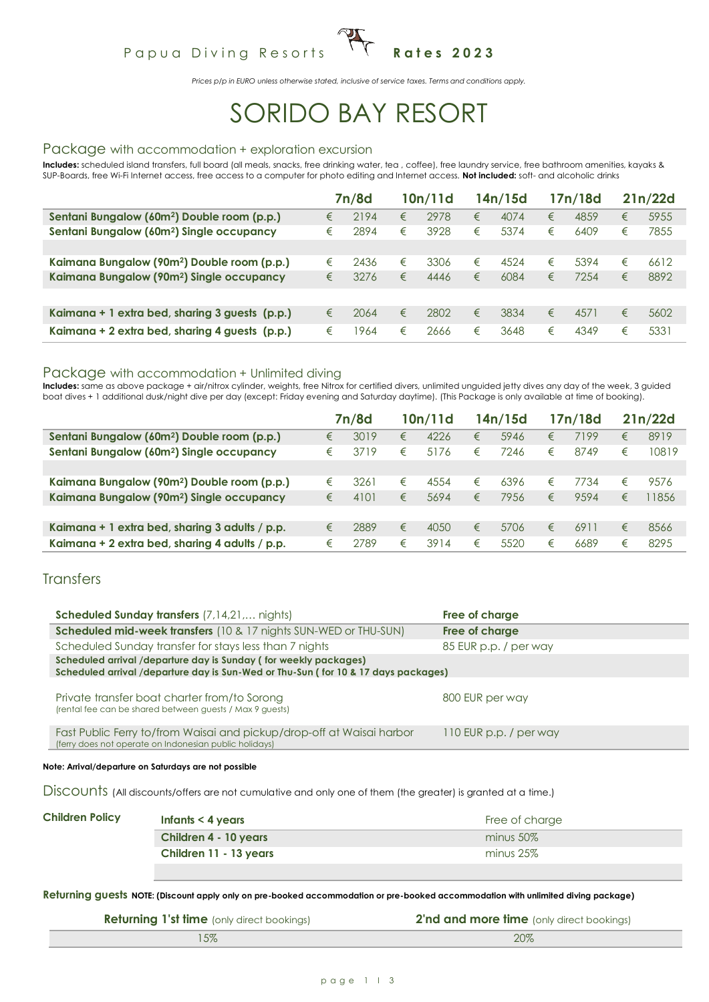# Papua Diving Resorts <sup>1</sup> T Rates 2023

*Prices p/p in EURO unless otherwise stated, inclusive of service taxes. Terms and conditions apply.*

# SORIDO BAY RESORT

#### Package with accommodation + exploration excursion

**Includes:** scheduled island transfers, full board (all meals, snacks, free drinking water, tea , coffee), free laundry service, free bathroom amenities, kayaks & SUP-Boards, free Wi-Fi Internet access, free access to a computer for photo editing and Internet access. **Not included:** soft- and alcoholic drinks

|                                                         |   | 7n/8d |   | 10n/11d |   | 14n/15d |   | 17n/18d |   | 21n/22d |
|---------------------------------------------------------|---|-------|---|---------|---|---------|---|---------|---|---------|
| Sentani Bungalow (60m <sup>2</sup> ) Double room (p.p.) | € | 2194  | € | 2978    | € | 4074    | € | 4859    | € | 5955    |
| Sentani Bungalow (60m <sup>2</sup> ) Single occupancy   | € | 2894  | € | 3928    | € | 5374    | € | 6409    | € | 7855    |
|                                                         |   |       |   |         |   |         |   |         |   |         |
| Kaimana Bungalow (90m <sup>2</sup> ) Double room (p.p.) | € | 2436  | € | 3306    | € | 4524    | € | 5394    | € | 6612    |
| Kaimana Bungalow (90m <sup>2</sup> ) Single occupancy   | € | 3276  | € | 4446    | € | 6084    | € | 7254    | € | 8892    |
|                                                         |   |       |   |         |   |         |   |         |   |         |
| Kaimana + 1 extra bed, sharing 3 guests (p.p.)          | € | 2064  | € | 2802    | € | 3834    | € | 4571    | € | 5602    |
| Kaimana + 2 extra bed, sharing 4 quests (p.p.)          | € | 964   | € | 2666    | € | 3648    | € | 4349    | € | 5331    |

#### Package with accommodation + Unlimited diving

Includes: same as above package + air/nitrox cylinder, weights, free Nitrox for certified divers, unlimited unguided jetty dives any day of the week, 3 guided boat dives + 1 additional dusk/night dive per day (except: Friday evening and Saturday daytime). (This Package is only available at time of booking).

|                                                         |   | 7n/8d |   | 10n/11d |   | 14n/15d |   | 17n/18d |   | 21n/22d |
|---------------------------------------------------------|---|-------|---|---------|---|---------|---|---------|---|---------|
| Sentani Bungalow (60m <sup>2</sup> ) Double room (p.p.) | € | 3019  | € | 4226    | € | 5946    | € | 7199    | € | 8919    |
| Sentani Bungalow (60m <sup>2</sup> ) Single occupancy   | € | 3719  | € | 5176    | € | 7246    | € | 8749    | € | 10819   |
|                                                         |   |       |   |         |   |         |   |         |   |         |
| Kaimana Bungalow (90m <sup>2</sup> ) Double room (p.p.) | € | 3261  | € | 4554    | € | 6396    | € | 7734    | € | 9576    |
| Kaimana Bungalow (90m <sup>2</sup> ) Single occupancy   | € | 4101  | € | 5694    | € | 7956    | € | 9594    | € | 1856    |
|                                                         |   |       |   |         |   |         |   |         |   |         |
| Kaimana + 1 extra bed, sharing 3 adults / p.p.          | € | 2889  | € | 4050    | € | 5706    | € | 6911    | € | 8566    |
| Kaimana + 2 extra bed, sharing 4 adults / p.p.          | € | 2789  | € | 3914    | € | 5520    | € | 6689    | € | 8295    |

#### **Transfers**

| <b>Scheduled Sunday transfers</b> (7,14,21, nights)                                                                                                    | Free of charge         |
|--------------------------------------------------------------------------------------------------------------------------------------------------------|------------------------|
| <b>Scheduled mid-week transfers</b> (10 & 17 nights SUN-WED or THU-SUN)                                                                                | Free of charge         |
| Scheduled Sunday transfer for stays less than 7 nights                                                                                                 | 85 EUR p.p. / per way  |
| Scheduled arrival /departure day is Sunday (for weekly packages)<br>Scheduled arrival /departure day is Sun-Wed or Thu-Sun (for 10 & 17 days packages) |                        |
|                                                                                                                                                        |                        |
| Private transfer boat charter from/to Sorong<br>(rental fee can be shared between guests / Max 9 guests)                                               | 800 EUR per way        |
| Fast Public Ferry to/from Waisai and pickup/drop-off at Waisai harbor<br>(ferry does not operate on Indonesian public holidays)                        | 110 EUR p.p. / per way |
|                                                                                                                                                        |                        |

**Note: Arrival/departure on Saturdays are not possible**

Discounts (All discounts/offers are not cumulative and only one of them (the greater) is granted at a time.)

| <b>Children Policy</b> | Infants $<$ 4 years    | Free of charge |
|------------------------|------------------------|----------------|
|                        | Children 4 - 10 years  | $minus 50\%$   |
|                        | Children 11 - 13 years | minus $25\%$   |
|                        |                        |                |

**Returning guests NOTE: (Discount apply only on pre-booked accommodation or pre-booked accommodation with unlimited diving package)**

| <b>Returning 1'st time</b> (only direct bookings) | <b>2'nd and more time</b> (only direct bookings) |
|---------------------------------------------------|--------------------------------------------------|
|                                                   | 20%                                              |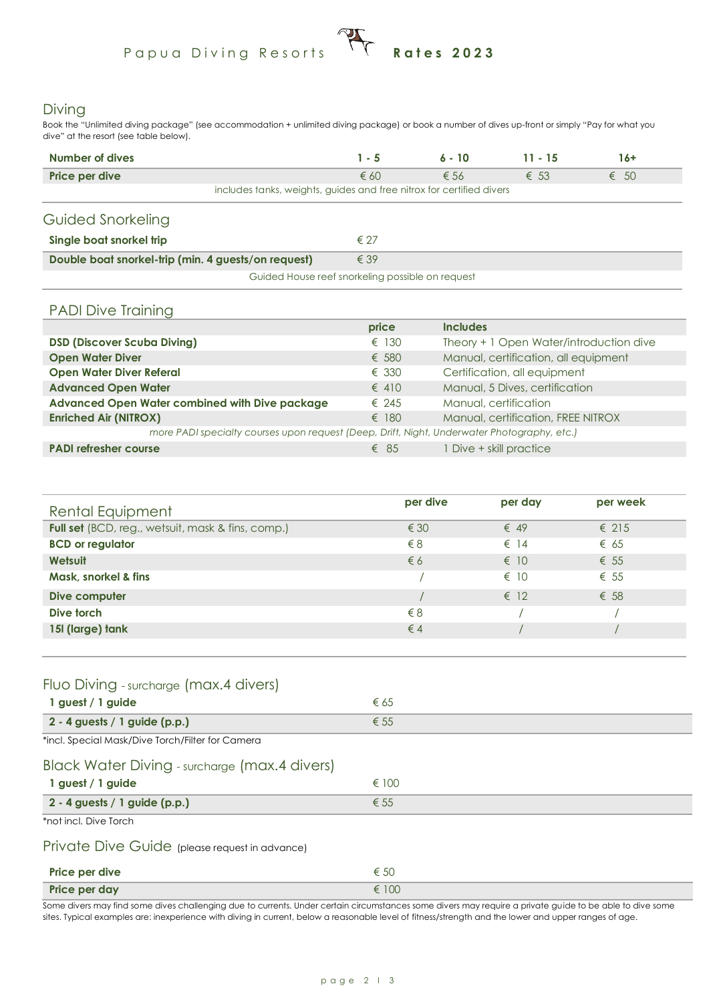# Papua Diving Resorts **Rates 2023**

#### Diving

Book the "Unlimited diving package" (see accommodation + unlimited diving package) or book a number of dives up-front or simply "Pay for what you dive" at the resort (see table below).

| Number of dives                                                      | $1 - 5$       | $6 - 10$      | $11 - 15$     | 16+           |  |  |  |
|----------------------------------------------------------------------|---------------|---------------|---------------|---------------|--|--|--|
| Price per dive                                                       | $\epsilon$ 60 | $\epsilon$ 56 | $\epsilon$ 53 | $\epsilon$ 50 |  |  |  |
| includes tanks, weights, guides and free nitrox for certified divers |               |               |               |               |  |  |  |
| Guided Snorkeling                                                    |               |               |               |               |  |  |  |
| Single boat snorkel trip                                             | $\epsilon$ 27 |               |               |               |  |  |  |
| Double boat snorkel-trip (min. 4 guests/on request)<br>$\epsilon$ 39 |               |               |               |               |  |  |  |
| Guided House reef snorkeling possible on request                     |               |               |               |               |  |  |  |

#### PADI Dive Training

|                                                                                             | price          | <b>Includes</b>                         |
|---------------------------------------------------------------------------------------------|----------------|-----------------------------------------|
| <b>DSD (Discover Scuba Diving)</b>                                                          | $\epsilon$ 130 | Theory + 1 Open Water/introduction dive |
| <b>Open Water Diver</b>                                                                     | € 580          | Manual, certification, all equipment    |
| <b>Open Water Diver Referal</b>                                                             | $\epsilon$ 330 | Certification, all equipment            |
| <b>Advanced Open Water</b>                                                                  | $\epsilon$ 410 | Manual, 5 Dives, certification          |
| Advanced Open Water combined with Dive package                                              | $\epsilon$ 245 | Manual, certification                   |
| <b>Enriched Air (NITROX)</b>                                                                | $\epsilon$ 180 | Manual, certification, FREE NITROX      |
| more PADI specialty courses upon request (Deep, Drift, Night, Underwater Photography, etc.) |                |                                         |
| <b>PADI refresher course</b>                                                                | $\epsilon$ 85  | 1 Dive + skill practice                 |

| Rental Equipment                                  | per dive      | per day       | per week       |  |
|---------------------------------------------------|---------------|---------------|----------------|--|
| Full set (BCD, reg., wetsuit, mask & fins, comp.) | $\epsilon$ 30 | $\epsilon$ 49 | $\epsilon$ 215 |  |
| <b>BCD</b> or regulator                           | $\xi$ 8       | $\epsilon$ 14 | $\epsilon$ 65  |  |
| Wetsuit                                           | $\epsilon$ 6  | $\epsilon$ 10 | $\epsilon$ 55  |  |
| Mask, snorkel & fins                              |               | $\epsilon$ 10 | $\epsilon$ 55  |  |
| Dive computer                                     |               | $\epsilon$ 12 | $\epsilon$ 58  |  |
| Dive torch                                        | $\xi$ 8       |               |                |  |
| 15I (large) tank                                  | $\epsilon$ 4  |               |                |  |
|                                                   |               |               |                |  |

### Fluo Diving - surcharge (max.4 divers)

| 1 guest / 1 guide                                | € 65           |
|--------------------------------------------------|----------------|
| $2 - 4$ guests / 1 guide (p.p.)                  | $\epsilon$ 55  |
| *incl. Special Mask/Dive Torch/Filter for Camera |                |
| Black Water Diving - surcharge (max.4 divers)    |                |
| 1 guest / 1 guide                                | $\epsilon$ 100 |
| $2 - 4$ guests / 1 guide (p.p.)                  | $\epsilon$ 55  |

\*not incl. Dive Torch

#### Private Dive Guide (please request in advance)

| Price per dive | € 50  |
|----------------|-------|
| Price per day  | € 100 |

Some divers may find some dives challenging due to currents. Under certain circumstances some divers may require a private guide to be able to dive some sites. Typical examples are: inexperience with diving in current, below a reasonable level of fitness/strength and the lower and upper ranges of age.